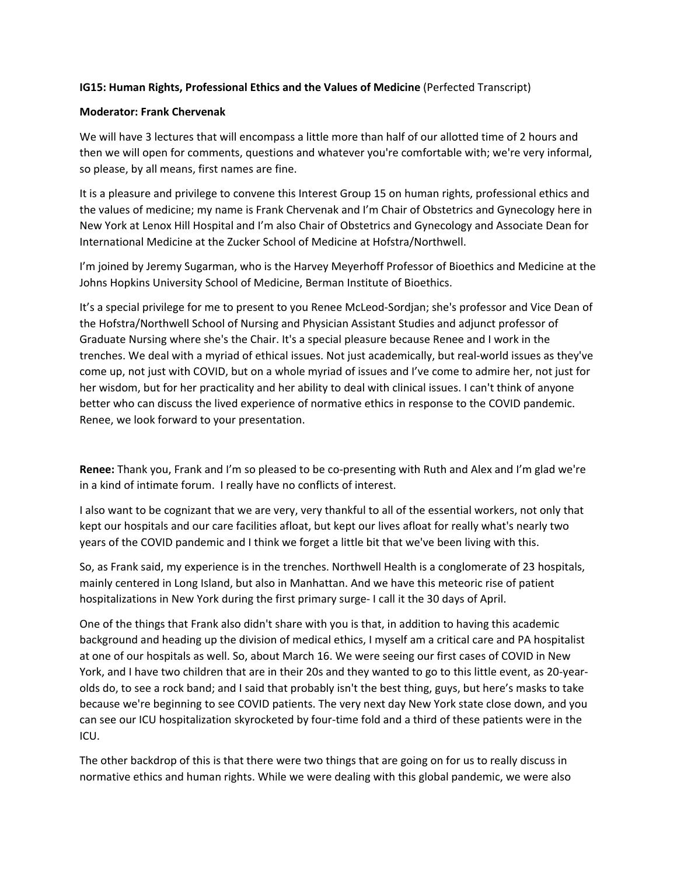## **IG15: Human Rights, Professional Ethics and the Values of Medicine** (Perfected Transcript)

## **Moderator: Frank Chervenak**

We will have 3 lectures that will encompass a little more than half of our allotted time of 2 hours and then we will open for comments, questions and whatever you're comfortable with; we're very informal, so please, by all means, first names are fine.

It is a pleasure and privilege to convene this Interest Group 15 on human rights, professional ethics and the values of medicine; my name is Frank Chervenak and I'm Chair of Obstetrics and Gynecology here in New York at Lenox Hill Hospital and I'm also Chair of Obstetrics and Gynecology and Associate Dean for International Medicine at the Zucker School of Medicine at Hofstra/Northwell.

I'm joined by Jeremy Sugarman, who is the Harvey Meyerhoff Professor of Bioethics and Medicine at the Johns Hopkins University School of Medicine, Berman Institute of Bioethics.

It's a special privilege for me to present to you Renee McLeod‐Sordjan; she's professor and Vice Dean of the Hofstra/Northwell School of Nursing and Physician Assistant Studies and adjunct professor of Graduate Nursing where she's the Chair. It's a special pleasure because Renee and I work in the trenches. We deal with a myriad of ethical issues. Not just academically, but real‐world issues as they've come up, not just with COVID, but on a whole myriad of issues and I've come to admire her, not just for her wisdom, but for her practicality and her ability to deal with clinical issues. I can't think of anyone better who can discuss the lived experience of normative ethics in response to the COVID pandemic. Renee, we look forward to your presentation.

**Renee:** Thank you, Frank and I'm so pleased to be co‐presenting with Ruth and Alex and I'm glad we're in a kind of intimate forum. I really have no conflicts of interest.

I also want to be cognizant that we are very, very thankful to all of the essential workers, not only that kept our hospitals and our care facilities afloat, but kept our lives afloat for really what's nearly two years of the COVID pandemic and I think we forget a little bit that we've been living with this.

So, as Frank said, my experience is in the trenches. Northwell Health is a conglomerate of 23 hospitals, mainly centered in Long Island, but also in Manhattan. And we have this meteoric rise of patient hospitalizations in New York during the first primary surge‐ I call it the 30 days of April.

One of the things that Frank also didn't share with you is that, in addition to having this academic background and heading up the division of medical ethics, I myself am a critical care and PA hospitalist at one of our hospitals as well. So, about March 16. We were seeing our first cases of COVID in New York, and I have two children that are in their 20s and they wanted to go to this little event, as 20‐year‐ olds do, to see a rock band; and I said that probably isn't the best thing, guys, but here's masks to take because we're beginning to see COVID patients. The very next day New York state close down, and you can see our ICU hospitalization skyrocketed by four‐time fold and a third of these patients were in the ICU.

The other backdrop of this is that there were two things that are going on for us to really discuss in normative ethics and human rights. While we were dealing with this global pandemic, we were also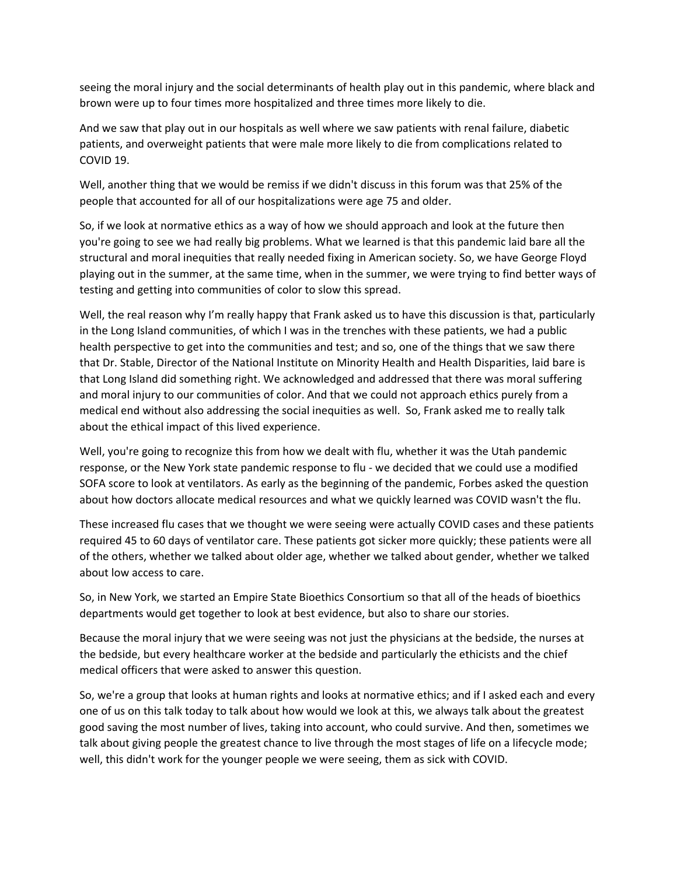seeing the moral injury and the social determinants of health play out in this pandemic, where black and brown were up to four times more hospitalized and three times more likely to die.

And we saw that play out in our hospitals as well where we saw patients with renal failure, diabetic patients, and overweight patients that were male more likely to die from complications related to COVID 19.

Well, another thing that we would be remiss if we didn't discuss in this forum was that 25% of the people that accounted for all of our hospitalizations were age 75 and older.

So, if we look at normative ethics as a way of how we should approach and look at the future then you're going to see we had really big problems. What we learned is that this pandemic laid bare all the structural and moral inequities that really needed fixing in American society. So, we have George Floyd playing out in the summer, at the same time, when in the summer, we were trying to find better ways of testing and getting into communities of color to slow this spread.

Well, the real reason why I'm really happy that Frank asked us to have this discussion is that, particularly in the Long Island communities, of which I was in the trenches with these patients, we had a public health perspective to get into the communities and test; and so, one of the things that we saw there that Dr. Stable, Director of the National Institute on Minority Health and Health Disparities, laid bare is that Long Island did something right. We acknowledged and addressed that there was moral suffering and moral injury to our communities of color. And that we could not approach ethics purely from a medical end without also addressing the social inequities as well. So, Frank asked me to really talk about the ethical impact of this lived experience.

Well, you're going to recognize this from how we dealt with flu, whether it was the Utah pandemic response, or the New York state pandemic response to flu ‐ we decided that we could use a modified SOFA score to look at ventilators. As early as the beginning of the pandemic, Forbes asked the question about how doctors allocate medical resources and what we quickly learned was COVID wasn't the flu.

These increased flu cases that we thought we were seeing were actually COVID cases and these patients required 45 to 60 days of ventilator care. These patients got sicker more quickly; these patients were all of the others, whether we talked about older age, whether we talked about gender, whether we talked about low access to care.

So, in New York, we started an Empire State Bioethics Consortium so that all of the heads of bioethics departments would get together to look at best evidence, but also to share our stories.

Because the moral injury that we were seeing was not just the physicians at the bedside, the nurses at the bedside, but every healthcare worker at the bedside and particularly the ethicists and the chief medical officers that were asked to answer this question.

So, we're a group that looks at human rights and looks at normative ethics; and if I asked each and every one of us on this talk today to talk about how would we look at this, we always talk about the greatest good saving the most number of lives, taking into account, who could survive. And then, sometimes we talk about giving people the greatest chance to live through the most stages of life on a lifecycle mode; well, this didn't work for the younger people we were seeing, them as sick with COVID.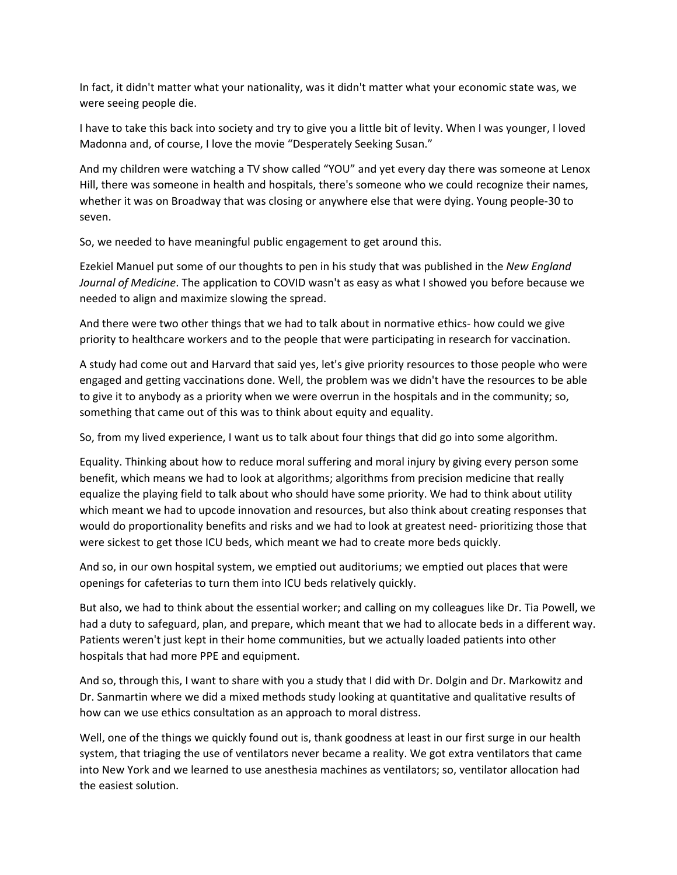In fact, it didn't matter what your nationality, was it didn't matter what your economic state was, we were seeing people die.

I have to take this back into society and try to give you a little bit of levity. When I was younger, I loved Madonna and, of course, I love the movie "Desperately Seeking Susan."

And my children were watching a TV show called "YOU" and yet every day there was someone at Lenox Hill, there was someone in health and hospitals, there's someone who we could recognize their names, whether it was on Broadway that was closing or anywhere else that were dying. Young people‐30 to seven.

So, we needed to have meaningful public engagement to get around this.

Ezekiel Manuel put some of our thoughts to pen in his study that was published in the *New England Journal of Medicine*. The application to COVID wasn't as easy as what I showed you before because we needed to align and maximize slowing the spread.

And there were two other things that we had to talk about in normative ethics- how could we give priority to healthcare workers and to the people that were participating in research for vaccination.

A study had come out and Harvard that said yes, let's give priority resources to those people who were engaged and getting vaccinations done. Well, the problem was we didn't have the resources to be able to give it to anybody as a priority when we were overrun in the hospitals and in the community; so, something that came out of this was to think about equity and equality.

So, from my lived experience, I want us to talk about four things that did go into some algorithm.

Equality. Thinking about how to reduce moral suffering and moral injury by giving every person some benefit, which means we had to look at algorithms; algorithms from precision medicine that really equalize the playing field to talk about who should have some priority. We had to think about utility which meant we had to upcode innovation and resources, but also think about creating responses that would do proportionality benefits and risks and we had to look at greatest need‐ prioritizing those that were sickest to get those ICU beds, which meant we had to create more beds quickly.

And so, in our own hospital system, we emptied out auditoriums; we emptied out places that were openings for cafeterias to turn them into ICU beds relatively quickly.

But also, we had to think about the essential worker; and calling on my colleagues like Dr. Tia Powell, we had a duty to safeguard, plan, and prepare, which meant that we had to allocate beds in a different way. Patients weren't just kept in their home communities, but we actually loaded patients into other hospitals that had more PPE and equipment.

And so, through this, I want to share with you a study that I did with Dr. Dolgin and Dr. Markowitz and Dr. Sanmartin where we did a mixed methods study looking at quantitative and qualitative results of how can we use ethics consultation as an approach to moral distress.

Well, one of the things we quickly found out is, thank goodness at least in our first surge in our health system, that triaging the use of ventilators never became a reality. We got extra ventilators that came into New York and we learned to use anesthesia machines as ventilators; so, ventilator allocation had the easiest solution.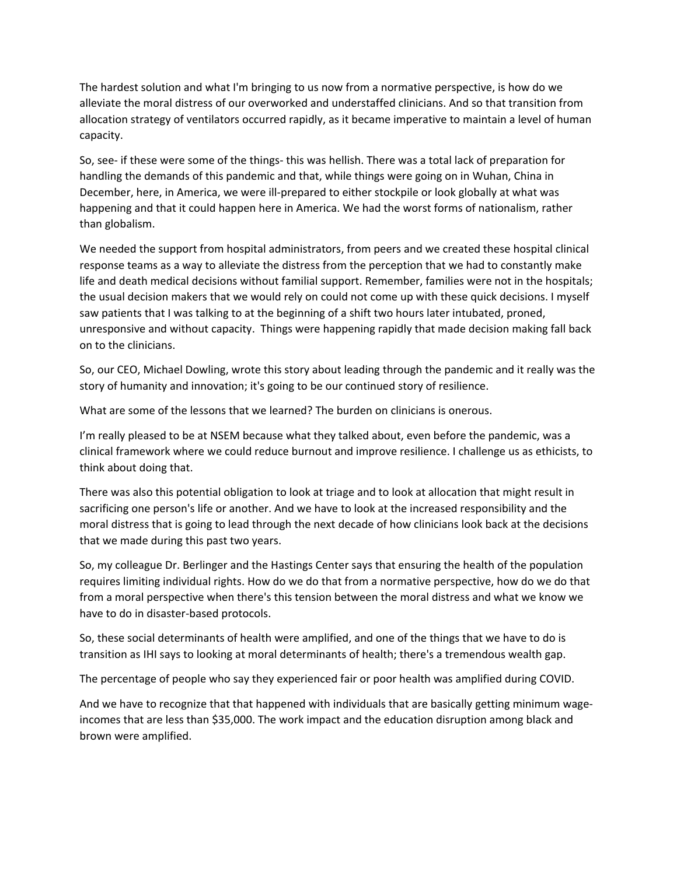The hardest solution and what I'm bringing to us now from a normative perspective, is how do we alleviate the moral distress of our overworked and understaffed clinicians. And so that transition from allocation strategy of ventilators occurred rapidly, as it became imperative to maintain a level of human capacity.

So, see‐ if these were some of the things‐ this was hellish. There was a total lack of preparation for handling the demands of this pandemic and that, while things were going on in Wuhan, China in December, here, in America, we were ill‐prepared to either stockpile or look globally at what was happening and that it could happen here in America. We had the worst forms of nationalism, rather than globalism.

We needed the support from hospital administrators, from peers and we created these hospital clinical response teams as a way to alleviate the distress from the perception that we had to constantly make life and death medical decisions without familial support. Remember, families were not in the hospitals; the usual decision makers that we would rely on could not come up with these quick decisions. I myself saw patients that I was talking to at the beginning of a shift two hours later intubated, proned, unresponsive and without capacity. Things were happening rapidly that made decision making fall back on to the clinicians.

So, our CEO, Michael Dowling, wrote this story about leading through the pandemic and it really was the story of humanity and innovation; it's going to be our continued story of resilience.

What are some of the lessons that we learned? The burden on clinicians is onerous.

I'm really pleased to be at NSEM because what they talked about, even before the pandemic, was a clinical framework where we could reduce burnout and improve resilience. I challenge us as ethicists, to think about doing that.

There was also this potential obligation to look at triage and to look at allocation that might result in sacrificing one person's life or another. And we have to look at the increased responsibility and the moral distress that is going to lead through the next decade of how clinicians look back at the decisions that we made during this past two years.

So, my colleague Dr. Berlinger and the Hastings Center says that ensuring the health of the population requires limiting individual rights. How do we do that from a normative perspective, how do we do that from a moral perspective when there's this tension between the moral distress and what we know we have to do in disaster‐based protocols.

So, these social determinants of health were amplified, and one of the things that we have to do is transition as IHI says to looking at moral determinants of health; there's a tremendous wealth gap.

The percentage of people who say they experienced fair or poor health was amplified during COVID.

And we have to recognize that that happened with individuals that are basically getting minimum wage‐ incomes that are less than \$35,000. The work impact and the education disruption among black and brown were amplified.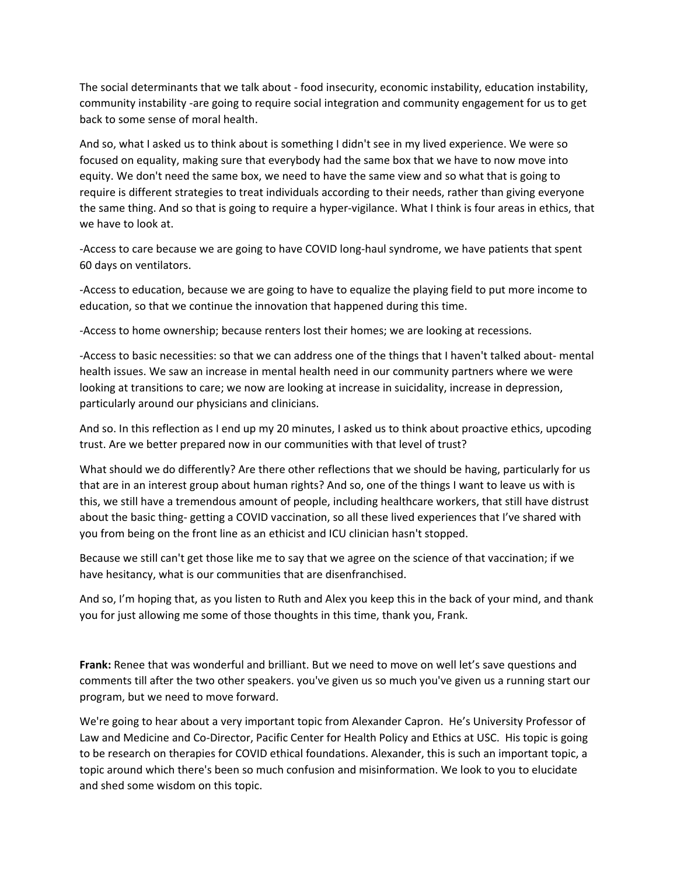The social determinants that we talk about ‐ food insecurity, economic instability, education instability, community instability ‐are going to require social integration and community engagement for us to get back to some sense of moral health.

And so, what I asked us to think about is something I didn't see in my lived experience. We were so focused on equality, making sure that everybody had the same box that we have to now move into equity. We don't need the same box, we need to have the same view and so what that is going to require is different strategies to treat individuals according to their needs, rather than giving everyone the same thing. And so that is going to require a hyper‐vigilance. What I think is four areas in ethics, that we have to look at.

‐Access to care because we are going to have COVID long‐haul syndrome, we have patients that spent 60 days on ventilators.

‐Access to education, because we are going to have to equalize the playing field to put more income to education, so that we continue the innovation that happened during this time.

‐Access to home ownership; because renters lost their homes; we are looking at recessions.

‐Access to basic necessities: so that we can address one of the things that I haven't talked about‐ mental health issues. We saw an increase in mental health need in our community partners where we were looking at transitions to care; we now are looking at increase in suicidality, increase in depression, particularly around our physicians and clinicians.

And so. In this reflection as I end up my 20 minutes, I asked us to think about proactive ethics, upcoding trust. Are we better prepared now in our communities with that level of trust?

What should we do differently? Are there other reflections that we should be having, particularly for us that are in an interest group about human rights? And so, one of the things I want to leave us with is this, we still have a tremendous amount of people, including healthcare workers, that still have distrust about the basic thing‐ getting a COVID vaccination, so all these lived experiences that I've shared with you from being on the front line as an ethicist and ICU clinician hasn't stopped.

Because we still can't get those like me to say that we agree on the science of that vaccination; if we have hesitancy, what is our communities that are disenfranchised.

And so, I'm hoping that, as you listen to Ruth and Alex you keep this in the back of your mind, and thank you for just allowing me some of those thoughts in this time, thank you, Frank.

**Frank:** Renee that was wonderful and brilliant. But we need to move on well let's save questions and comments till after the two other speakers. you've given us so much you've given us a running start our program, but we need to move forward.

We're going to hear about a very important topic from Alexander Capron. He's University Professor of Law and Medicine and Co‐Director, Pacific Center for Health Policy and Ethics at USC. His topic is going to be research on therapies for COVID ethical foundations. Alexander, this is such an important topic, a topic around which there's been so much confusion and misinformation. We look to you to elucidate and shed some wisdom on this topic.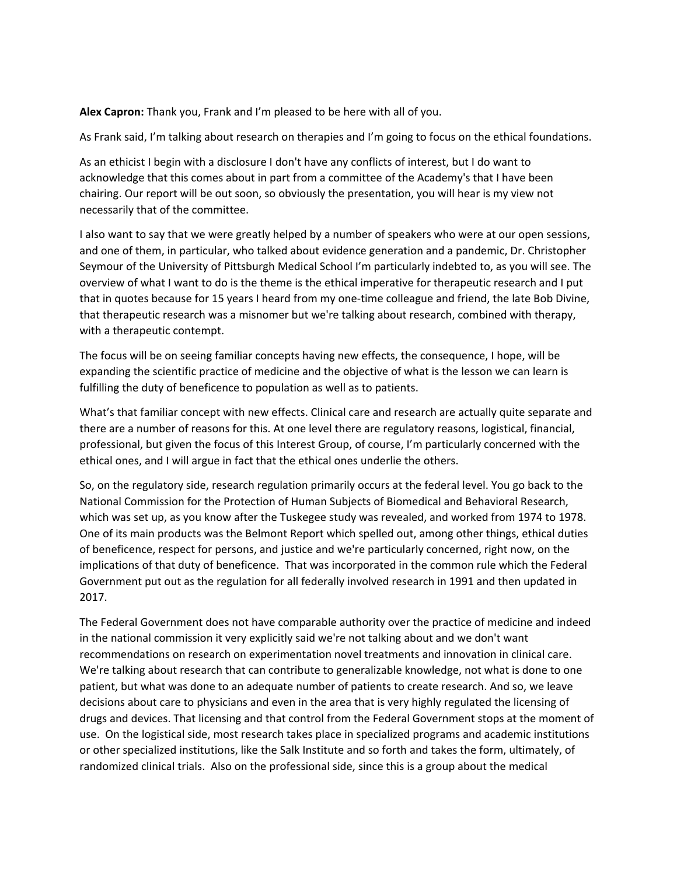**Alex Capron:** Thank you, Frank and I'm pleased to be here with all of you.

As Frank said, I'm talking about research on therapies and I'm going to focus on the ethical foundations.

As an ethicist I begin with a disclosure I don't have any conflicts of interest, but I do want to acknowledge that this comes about in part from a committee of the Academy's that I have been chairing. Our report will be out soon, so obviously the presentation, you will hear is my view not necessarily that of the committee.

I also want to say that we were greatly helped by a number of speakers who were at our open sessions, and one of them, in particular, who talked about evidence generation and a pandemic, Dr. Christopher Seymour of the University of Pittsburgh Medical School I'm particularly indebted to, as you will see. The overview of what I want to do is the theme is the ethical imperative for therapeutic research and I put that in quotes because for 15 years I heard from my one‐time colleague and friend, the late Bob Divine, that therapeutic research was a misnomer but we're talking about research, combined with therapy, with a therapeutic contempt.

The focus will be on seeing familiar concepts having new effects, the consequence, I hope, will be expanding the scientific practice of medicine and the objective of what is the lesson we can learn is fulfilling the duty of beneficence to population as well as to patients.

What's that familiar concept with new effects. Clinical care and research are actually quite separate and there are a number of reasons for this. At one level there are regulatory reasons, logistical, financial, professional, but given the focus of this Interest Group, of course, I'm particularly concerned with the ethical ones, and I will argue in fact that the ethical ones underlie the others.

So, on the regulatory side, research regulation primarily occurs at the federal level. You go back to the National Commission for the Protection of Human Subjects of Biomedical and Behavioral Research, which was set up, as you know after the Tuskegee study was revealed, and worked from 1974 to 1978. One of its main products was the Belmont Report which spelled out, among other things, ethical duties of beneficence, respect for persons, and justice and we're particularly concerned, right now, on the implications of that duty of beneficence. That was incorporated in the common rule which the Federal Government put out as the regulation for all federally involved research in 1991 and then updated in 2017.

The Federal Government does not have comparable authority over the practice of medicine and indeed in the national commission it very explicitly said we're not talking about and we don't want recommendations on research on experimentation novel treatments and innovation in clinical care. We're talking about research that can contribute to generalizable knowledge, not what is done to one patient, but what was done to an adequate number of patients to create research. And so, we leave decisions about care to physicians and even in the area that is very highly regulated the licensing of drugs and devices. That licensing and that control from the Federal Government stops at the moment of use. On the logistical side, most research takes place in specialized programs and academic institutions or other specialized institutions, like the Salk Institute and so forth and takes the form, ultimately, of randomized clinical trials. Also on the professional side, since this is a group about the medical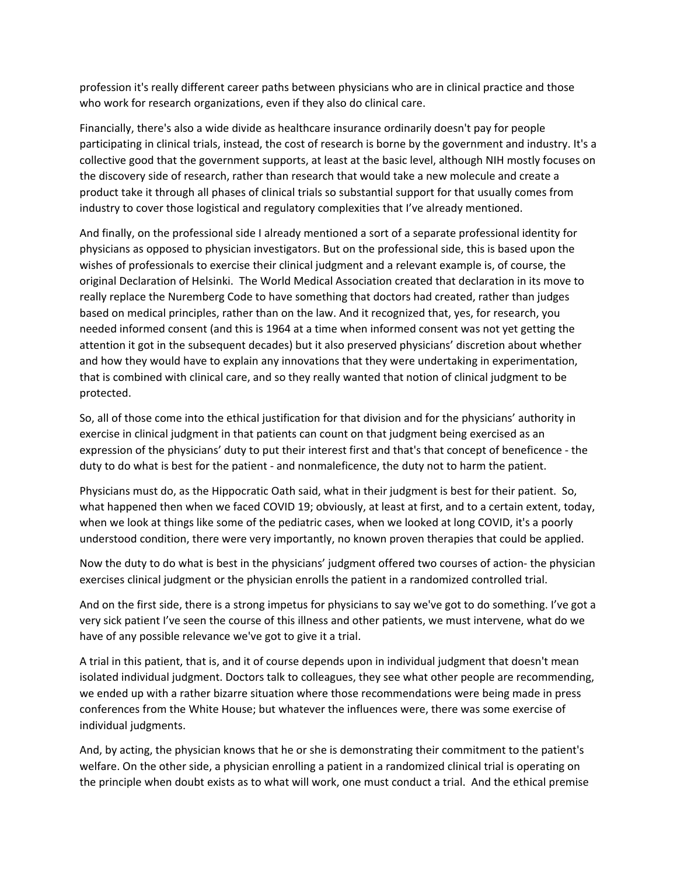profession it's really different career paths between physicians who are in clinical practice and those who work for research organizations, even if they also do clinical care.

Financially, there's also a wide divide as healthcare insurance ordinarily doesn't pay for people participating in clinical trials, instead, the cost of research is borne by the government and industry. It's a collective good that the government supports, at least at the basic level, although NIH mostly focuses on the discovery side of research, rather than research that would take a new molecule and create a product take it through all phases of clinical trials so substantial support for that usually comes from industry to cover those logistical and regulatory complexities that I've already mentioned.

And finally, on the professional side I already mentioned a sort of a separate professional identity for physicians as opposed to physician investigators. But on the professional side, this is based upon the wishes of professionals to exercise their clinical judgment and a relevant example is, of course, the original Declaration of Helsinki. The World Medical Association created that declaration in its move to really replace the Nuremberg Code to have something that doctors had created, rather than judges based on medical principles, rather than on the law. And it recognized that, yes, for research, you needed informed consent (and this is 1964 at a time when informed consent was not yet getting the attention it got in the subsequent decades) but it also preserved physicians' discretion about whether and how they would have to explain any innovations that they were undertaking in experimentation, that is combined with clinical care, and so they really wanted that notion of clinical judgment to be protected.

So, all of those come into the ethical justification for that division and for the physicians' authority in exercise in clinical judgment in that patients can count on that judgment being exercised as an expression of the physicians' duty to put their interest first and that's that concept of beneficence ‐ the duty to do what is best for the patient ‐ and nonmaleficence, the duty not to harm the patient.

Physicians must do, as the Hippocratic Oath said, what in their judgment is best for their patient. So, what happened then when we faced COVID 19; obviously, at least at first, and to a certain extent, today, when we look at things like some of the pediatric cases, when we looked at long COVID, it's a poorly understood condition, there were very importantly, no known proven therapies that could be applied.

Now the duty to do what is best in the physicians' judgment offered two courses of action‐ the physician exercises clinical judgment or the physician enrolls the patient in a randomized controlled trial.

And on the first side, there is a strong impetus for physicians to say we've got to do something. I've got a very sick patient I've seen the course of this illness and other patients, we must intervene, what do we have of any possible relevance we've got to give it a trial.

A trial in this patient, that is, and it of course depends upon in individual judgment that doesn't mean isolated individual judgment. Doctors talk to colleagues, they see what other people are recommending, we ended up with a rather bizarre situation where those recommendations were being made in press conferences from the White House; but whatever the influences were, there was some exercise of individual judgments.

And, by acting, the physician knows that he or she is demonstrating their commitment to the patient's welfare. On the other side, a physician enrolling a patient in a randomized clinical trial is operating on the principle when doubt exists as to what will work, one must conduct a trial. And the ethical premise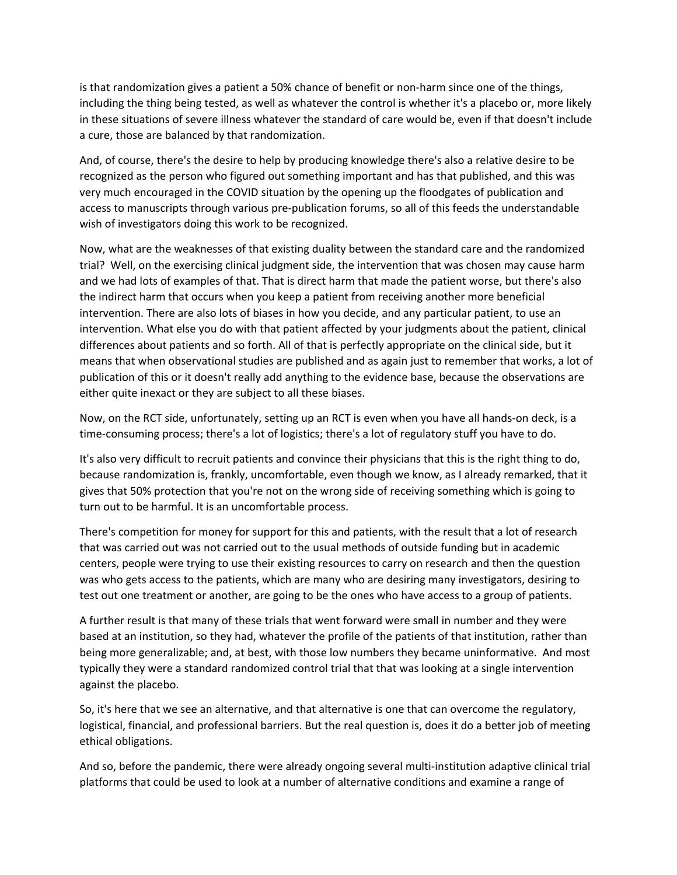is that randomization gives a patient a 50% chance of benefit or non-harm since one of the things, including the thing being tested, as well as whatever the control is whether it's a placebo or, more likely in these situations of severe illness whatever the standard of care would be, even if that doesn't include a cure, those are balanced by that randomization.

And, of course, there's the desire to help by producing knowledge there's also a relative desire to be recognized as the person who figured out something important and has that published, and this was very much encouraged in the COVID situation by the opening up the floodgates of publication and access to manuscripts through various pre‐publication forums, so all of this feeds the understandable wish of investigators doing this work to be recognized.

Now, what are the weaknesses of that existing duality between the standard care and the randomized trial? Well, on the exercising clinical judgment side, the intervention that was chosen may cause harm and we had lots of examples of that. That is direct harm that made the patient worse, but there's also the indirect harm that occurs when you keep a patient from receiving another more beneficial intervention. There are also lots of biases in how you decide, and any particular patient, to use an intervention. What else you do with that patient affected by your judgments about the patient, clinical differences about patients and so forth. All of that is perfectly appropriate on the clinical side, but it means that when observational studies are published and as again just to remember that works, a lot of publication of this or it doesn't really add anything to the evidence base, because the observations are either quite inexact or they are subject to all these biases.

Now, on the RCT side, unfortunately, setting up an RCT is even when you have all hands‐on deck, is a time-consuming process; there's a lot of logistics; there's a lot of regulatory stuff you have to do.

It's also very difficult to recruit patients and convince their physicians that this is the right thing to do, because randomization is, frankly, uncomfortable, even though we know, as I already remarked, that it gives that 50% protection that you're not on the wrong side of receiving something which is going to turn out to be harmful. It is an uncomfortable process.

There's competition for money for support for this and patients, with the result that a lot of research that was carried out was not carried out to the usual methods of outside funding but in academic centers, people were trying to use their existing resources to carry on research and then the question was who gets access to the patients, which are many who are desiring many investigators, desiring to test out one treatment or another, are going to be the ones who have access to a group of patients.

A further result is that many of these trials that went forward were small in number and they were based at an institution, so they had, whatever the profile of the patients of that institution, rather than being more generalizable; and, at best, with those low numbers they became uninformative. And most typically they were a standard randomized control trial that that was looking at a single intervention against the placebo.

So, it's here that we see an alternative, and that alternative is one that can overcome the regulatory, logistical, financial, and professional barriers. But the real question is, does it do a better job of meeting ethical obligations.

And so, before the pandemic, there were already ongoing several multi‐institution adaptive clinical trial platforms that could be used to look at a number of alternative conditions and examine a range of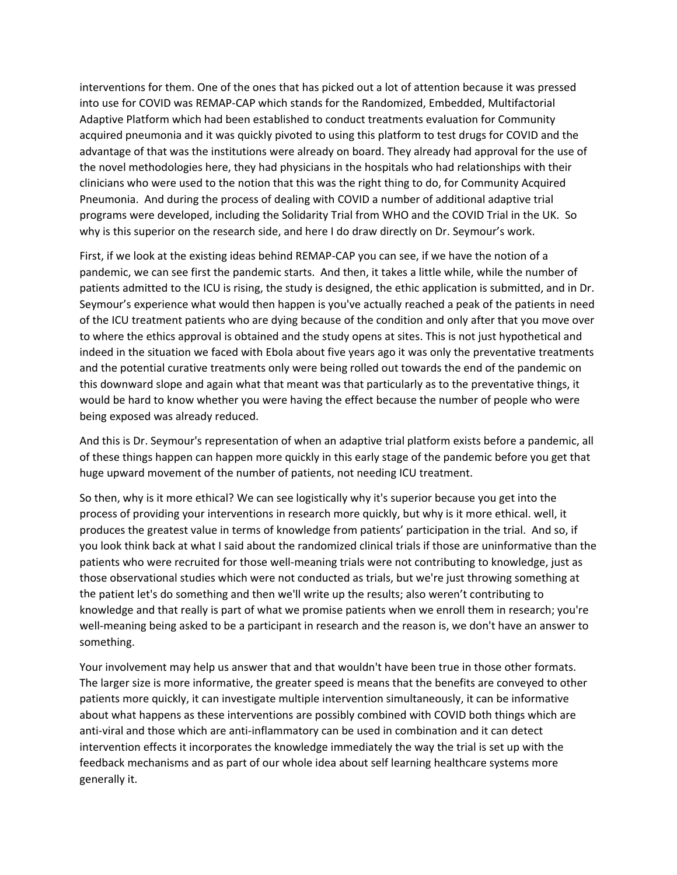interventions for them. One of the ones that has picked out a lot of attention because it was pressed into use for COVID was REMAP‐CAP which stands for the Randomized, Embedded, Multifactorial Adaptive Platform which had been established to conduct treatments evaluation for Community acquired pneumonia and it was quickly pivoted to using this platform to test drugs for COVID and the advantage of that was the institutions were already on board. They already had approval for the use of the novel methodologies here, they had physicians in the hospitals who had relationships with their clinicians who were used to the notion that this was the right thing to do, for Community Acquired Pneumonia. And during the process of dealing with COVID a number of additional adaptive trial programs were developed, including the Solidarity Trial from WHO and the COVID Trial in the UK. So why is this superior on the research side, and here I do draw directly on Dr. Seymour's work.

First, if we look at the existing ideas behind REMAP‐CAP you can see, if we have the notion of a pandemic, we can see first the pandemic starts. And then, it takes a little while, while the number of patients admitted to the ICU is rising, the study is designed, the ethic application is submitted, and in Dr. Seymour's experience what would then happen is you've actually reached a peak of the patients in need of the ICU treatment patients who are dying because of the condition and only after that you move over to where the ethics approval is obtained and the study opens at sites. This is not just hypothetical and indeed in the situation we faced with Ebola about five years ago it was only the preventative treatments and the potential curative treatments only were being rolled out towards the end of the pandemic on this downward slope and again what that meant was that particularly as to the preventative things, it would be hard to know whether you were having the effect because the number of people who were being exposed was already reduced.

And this is Dr. Seymour's representation of when an adaptive trial platform exists before a pandemic, all of these things happen can happen more quickly in this early stage of the pandemic before you get that huge upward movement of the number of patients, not needing ICU treatment.

So then, why is it more ethical? We can see logistically why it's superior because you get into the process of providing your interventions in research more quickly, but why is it more ethical. well, it produces the greatest value in terms of knowledge from patients' participation in the trial. And so, if you look think back at what I said about the randomized clinical trials if those are uninformative than the patients who were recruited for those well‐meaning trials were not contributing to knowledge, just as those observational studies which were not conducted as trials, but we're just throwing something at the patient let's do something and then we'll write up the results; also weren't contributing to knowledge and that really is part of what we promise patients when we enroll them in research; you're well-meaning being asked to be a participant in research and the reason is, we don't have an answer to something.

Your involvement may help us answer that and that wouldn't have been true in those other formats. The larger size is more informative, the greater speed is means that the benefits are conveyed to other patients more quickly, it can investigate multiple intervention simultaneously, it can be informative about what happens as these interventions are possibly combined with COVID both things which are anti‐viral and those which are anti‐inflammatory can be used in combination and it can detect intervention effects it incorporates the knowledge immediately the way the trial is set up with the feedback mechanisms and as part of our whole idea about self learning healthcare systems more generally it.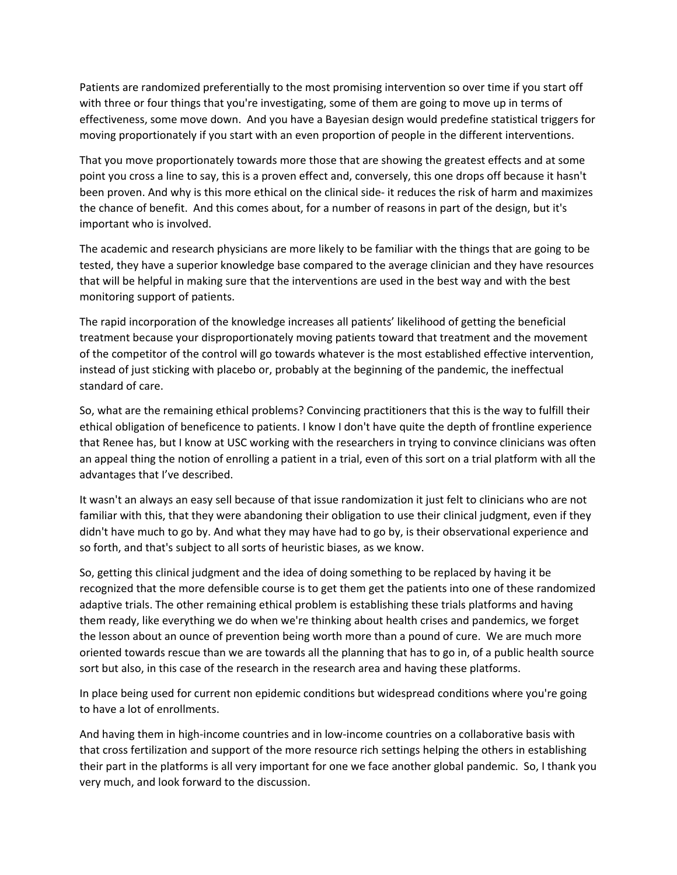Patients are randomized preferentially to the most promising intervention so over time if you start off with three or four things that you're investigating, some of them are going to move up in terms of effectiveness, some move down. And you have a Bayesian design would predefine statistical triggers for moving proportionately if you start with an even proportion of people in the different interventions.

That you move proportionately towards more those that are showing the greatest effects and at some point you cross a line to say, this is a proven effect and, conversely, this one drops off because it hasn't been proven. And why is this more ethical on the clinical side‐ it reduces the risk of harm and maximizes the chance of benefit. And this comes about, for a number of reasons in part of the design, but it's important who is involved.

The academic and research physicians are more likely to be familiar with the things that are going to be tested, they have a superior knowledge base compared to the average clinician and they have resources that will be helpful in making sure that the interventions are used in the best way and with the best monitoring support of patients.

The rapid incorporation of the knowledge increases all patients' likelihood of getting the beneficial treatment because your disproportionately moving patients toward that treatment and the movement of the competitor of the control will go towards whatever is the most established effective intervention, instead of just sticking with placebo or, probably at the beginning of the pandemic, the ineffectual standard of care.

So, what are the remaining ethical problems? Convincing practitioners that this is the way to fulfill their ethical obligation of beneficence to patients. I know I don't have quite the depth of frontline experience that Renee has, but I know at USC working with the researchers in trying to convince clinicians was often an appeal thing the notion of enrolling a patient in a trial, even of this sort on a trial platform with all the advantages that I've described.

It wasn't an always an easy sell because of that issue randomization it just felt to clinicians who are not familiar with this, that they were abandoning their obligation to use their clinical judgment, even if they didn't have much to go by. And what they may have had to go by, is their observational experience and so forth, and that's subject to all sorts of heuristic biases, as we know.

So, getting this clinical judgment and the idea of doing something to be replaced by having it be recognized that the more defensible course is to get them get the patients into one of these randomized adaptive trials. The other remaining ethical problem is establishing these trials platforms and having them ready, like everything we do when we're thinking about health crises and pandemics, we forget the lesson about an ounce of prevention being worth more than a pound of cure. We are much more oriented towards rescue than we are towards all the planning that has to go in, of a public health source sort but also, in this case of the research in the research area and having these platforms.

In place being used for current non epidemic conditions but widespread conditions where you're going to have a lot of enrollments.

And having them in high‐income countries and in low‐income countries on a collaborative basis with that cross fertilization and support of the more resource rich settings helping the others in establishing their part in the platforms is all very important for one we face another global pandemic. So, I thank you very much, and look forward to the discussion.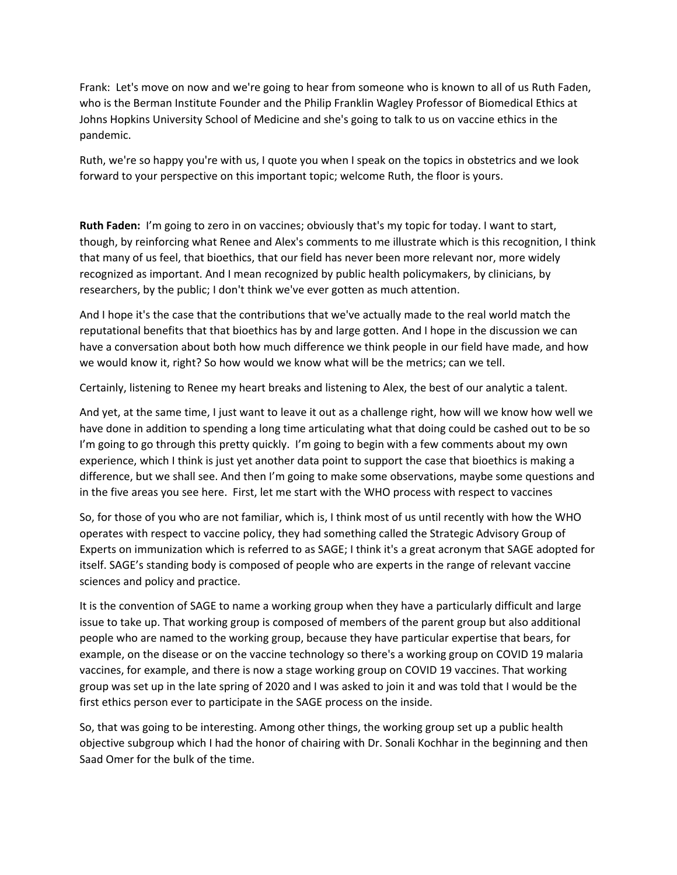Frank: Let's move on now and we're going to hear from someone who is known to all of us Ruth Faden, who is the Berman Institute Founder and the Philip Franklin Wagley Professor of Biomedical Ethics at Johns Hopkins University School of Medicine and she's going to talk to us on vaccine ethics in the pandemic.

Ruth, we're so happy you're with us, I quote you when I speak on the topics in obstetrics and we look forward to your perspective on this important topic; welcome Ruth, the floor is yours.

**Ruth Faden:** I'm going to zero in on vaccines; obviously that's my topic for today. I want to start, though, by reinforcing what Renee and Alex's comments to me illustrate which is this recognition, I think that many of us feel, that bioethics, that our field has never been more relevant nor, more widely recognized as important. And I mean recognized by public health policymakers, by clinicians, by researchers, by the public; I don't think we've ever gotten as much attention.

And I hope it's the case that the contributions that we've actually made to the real world match the reputational benefits that that bioethics has by and large gotten. And I hope in the discussion we can have a conversation about both how much difference we think people in our field have made, and how we would know it, right? So how would we know what will be the metrics; can we tell.

Certainly, listening to Renee my heart breaks and listening to Alex, the best of our analytic a talent.

And yet, at the same time, I just want to leave it out as a challenge right, how will we know how well we have done in addition to spending a long time articulating what that doing could be cashed out to be so I'm going to go through this pretty quickly. I'm going to begin with a few comments about my own experience, which I think is just yet another data point to support the case that bioethics is making a difference, but we shall see. And then I'm going to make some observations, maybe some questions and in the five areas you see here. First, let me start with the WHO process with respect to vaccines

So, for those of you who are not familiar, which is, I think most of us until recently with how the WHO operates with respect to vaccine policy, they had something called the Strategic Advisory Group of Experts on immunization which is referred to as SAGE; I think it's a great acronym that SAGE adopted for itself. SAGE's standing body is composed of people who are experts in the range of relevant vaccine sciences and policy and practice.

It is the convention of SAGE to name a working group when they have a particularly difficult and large issue to take up. That working group is composed of members of the parent group but also additional people who are named to the working group, because they have particular expertise that bears, for example, on the disease or on the vaccine technology so there's a working group on COVID 19 malaria vaccines, for example, and there is now a stage working group on COVID 19 vaccines. That working group was set up in the late spring of 2020 and I was asked to join it and was told that I would be the first ethics person ever to participate in the SAGE process on the inside.

So, that was going to be interesting. Among other things, the working group set up a public health objective subgroup which I had the honor of chairing with Dr. Sonali Kochhar in the beginning and then Saad Omer for the bulk of the time.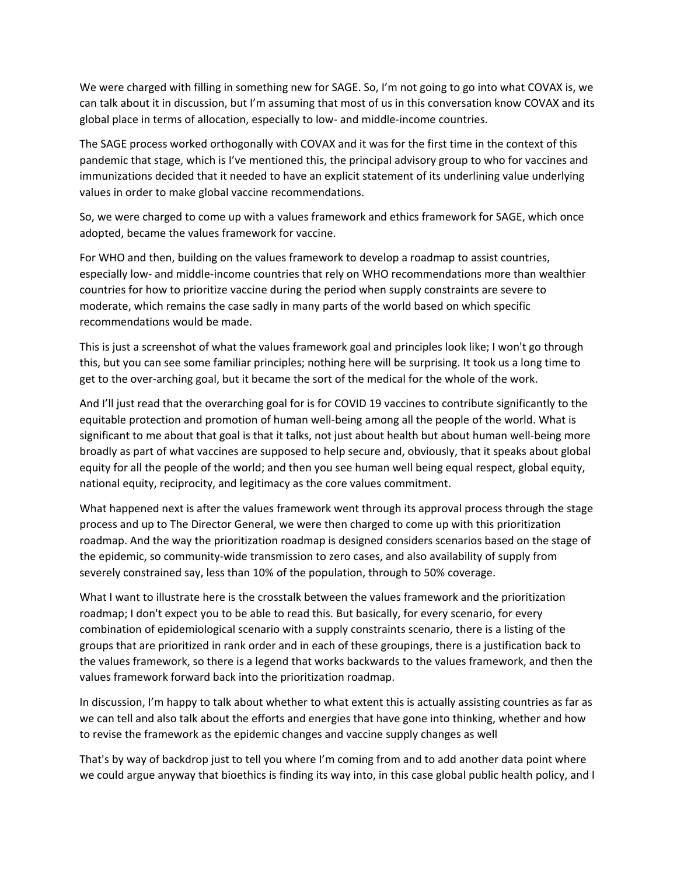We were charged with filling in something new for SAGE. So, I'm not going to go into what COVAX is, we can talk about it in discussion, but I'm assuming that most of us in this conversation know COVAX and its global place in terms of allocation, especially to low‐ and middle‐income countries.

The SAGE process worked orthogonally with COVAX and it was for the first time in the context of this pandemic that stage, which is I've mentioned this, the principal advisory group to who for vaccines and immunizations decided that it needed to have an explicit statement of its underlining value underlying values in order to make global vaccine recommendations.

So, we were charged to come up with a values framework and ethics framework for SAGE, which once adopted, became the values framework for vaccine.

For WHO and then, building on the values framework to develop a roadmap to assist countries, especially low‐ and middle‐income countries that rely on WHO recommendations more than wealthier countries for how to prioritize vaccine during the period when supply constraints are severe to moderate, which remains the case sadly in many parts of the world based on which specific recommendations would be made.

This is just a screenshot of what the values framework goal and principles look like; I won't go through this, but you can see some familiar principles; nothing here will be surprising. It took us a long time to get to the over‐arching goal, but it became the sort of the medical for the whole of the work.

And I'll just read that the overarching goal for is for COVID 19 vaccines to contribute significantly to the equitable protection and promotion of human well‐being among all the people of the world. What is significant to me about that goal is that it talks, not just about health but about human well‐being more broadly as part of what vaccines are supposed to help secure and, obviously, that it speaks about global equity for all the people of the world; and then you see human well being equal respect, global equity, national equity, reciprocity, and legitimacy as the core values commitment.

What happened next is after the values framework went through its approval process through the stage process and up to The Director General, we were then charged to come up with this prioritization roadmap. And the way the prioritization roadmap is designed considers scenarios based on the stage of the epidemic, so community‐wide transmission to zero cases, and also availability of supply from severely constrained say, less than 10% of the population, through to 50% coverage.

What I want to illustrate here is the crosstalk between the values framework and the prioritization roadmap; I don't expect you to be able to read this. But basically, for every scenario, for every combination of epidemiological scenario with a supply constraints scenario, there is a listing of the groups that are prioritized in rank order and in each of these groupings, there is a justification back to the values framework, so there is a legend that works backwards to the values framework, and then the values framework forward back into the prioritization roadmap.

In discussion, I'm happy to talk about whether to what extent this is actually assisting countries as far as we can tell and also talk about the efforts and energies that have gone into thinking, whether and how to revise the framework as the epidemic changes and vaccine supply changes as well

That's by way of backdrop just to tell you where I'm coming from and to add another data point where we could argue anyway that bioethics is finding its way into, in this case global public health policy, and I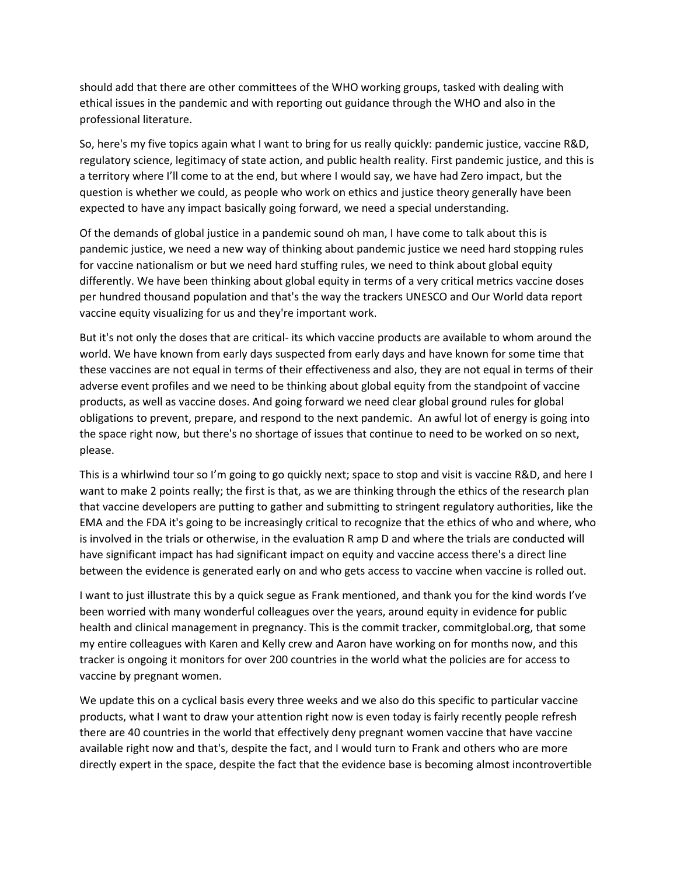should add that there are other committees of the WHO working groups, tasked with dealing with ethical issues in the pandemic and with reporting out guidance through the WHO and also in the professional literature.

So, here's my five topics again what I want to bring for us really quickly: pandemic justice, vaccine R&D, regulatory science, legitimacy of state action, and public health reality. First pandemic justice, and this is a territory where I'll come to at the end, but where I would say, we have had Zero impact, but the question is whether we could, as people who work on ethics and justice theory generally have been expected to have any impact basically going forward, we need a special understanding.

Of the demands of global justice in a pandemic sound oh man, I have come to talk about this is pandemic justice, we need a new way of thinking about pandemic justice we need hard stopping rules for vaccine nationalism or but we need hard stuffing rules, we need to think about global equity differently. We have been thinking about global equity in terms of a very critical metrics vaccine doses per hundred thousand population and that's the way the trackers UNESCO and Our World data report vaccine equity visualizing for us and they're important work.

But it's not only the doses that are critical- its which vaccine products are available to whom around the world. We have known from early days suspected from early days and have known for some time that these vaccines are not equal in terms of their effectiveness and also, they are not equal in terms of their adverse event profiles and we need to be thinking about global equity from the standpoint of vaccine products, as well as vaccine doses. And going forward we need clear global ground rules for global obligations to prevent, prepare, and respond to the next pandemic. An awful lot of energy is going into the space right now, but there's no shortage of issues that continue to need to be worked on so next, please.

This is a whirlwind tour so I'm going to go quickly next; space to stop and visit is vaccine R&D, and here I want to make 2 points really; the first is that, as we are thinking through the ethics of the research plan that vaccine developers are putting to gather and submitting to stringent regulatory authorities, like the EMA and the FDA it's going to be increasingly critical to recognize that the ethics of who and where, who is involved in the trials or otherwise, in the evaluation R amp D and where the trials are conducted will have significant impact has had significant impact on equity and vaccine access there's a direct line between the evidence is generated early on and who gets access to vaccine when vaccine is rolled out.

I want to just illustrate this by a quick segue as Frank mentioned, and thank you for the kind words I've been worried with many wonderful colleagues over the years, around equity in evidence for public health and clinical management in pregnancy. This is the commit tracker, commitglobal.org, that some my entire colleagues with Karen and Kelly crew and Aaron have working on for months now, and this tracker is ongoing it monitors for over 200 countries in the world what the policies are for access to vaccine by pregnant women.

We update this on a cyclical basis every three weeks and we also do this specific to particular vaccine products, what I want to draw your attention right now is even today is fairly recently people refresh there are 40 countries in the world that effectively deny pregnant women vaccine that have vaccine available right now and that's, despite the fact, and I would turn to Frank and others who are more directly expert in the space, despite the fact that the evidence base is becoming almost incontrovertible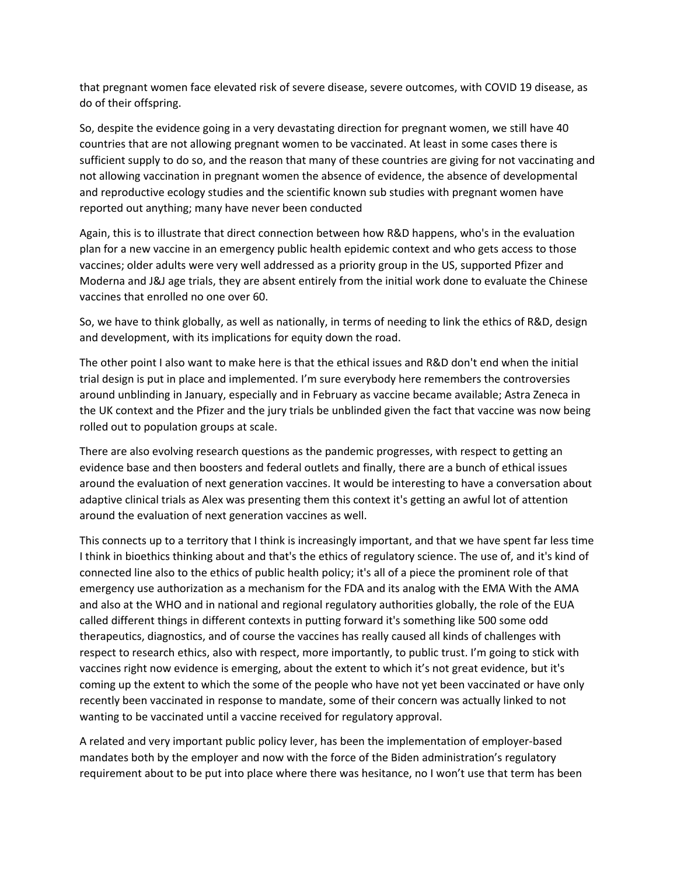that pregnant women face elevated risk of severe disease, severe outcomes, with COVID 19 disease, as do of their offspring.

So, despite the evidence going in a very devastating direction for pregnant women, we still have 40 countries that are not allowing pregnant women to be vaccinated. At least in some cases there is sufficient supply to do so, and the reason that many of these countries are giving for not vaccinating and not allowing vaccination in pregnant women the absence of evidence, the absence of developmental and reproductive ecology studies and the scientific known sub studies with pregnant women have reported out anything; many have never been conducted

Again, this is to illustrate that direct connection between how R&D happens, who's in the evaluation plan for a new vaccine in an emergency public health epidemic context and who gets access to those vaccines; older adults were very well addressed as a priority group in the US, supported Pfizer and Moderna and J&J age trials, they are absent entirely from the initial work done to evaluate the Chinese vaccines that enrolled no one over 60.

So, we have to think globally, as well as nationally, in terms of needing to link the ethics of R&D, design and development, with its implications for equity down the road.

The other point I also want to make here is that the ethical issues and R&D don't end when the initial trial design is put in place and implemented. I'm sure everybody here remembers the controversies around unblinding in January, especially and in February as vaccine became available; Astra Zeneca in the UK context and the Pfizer and the jury trials be unblinded given the fact that vaccine was now being rolled out to population groups at scale.

There are also evolving research questions as the pandemic progresses, with respect to getting an evidence base and then boosters and federal outlets and finally, there are a bunch of ethical issues around the evaluation of next generation vaccines. It would be interesting to have a conversation about adaptive clinical trials as Alex was presenting them this context it's getting an awful lot of attention around the evaluation of next generation vaccines as well.

This connects up to a territory that I think is increasingly important, and that we have spent far less time I think in bioethics thinking about and that's the ethics of regulatory science. The use of, and it's kind of connected line also to the ethics of public health policy; it's all of a piece the prominent role of that emergency use authorization as a mechanism for the FDA and its analog with the EMA With the AMA and also at the WHO and in national and regional regulatory authorities globally, the role of the EUA called different things in different contexts in putting forward it's something like 500 some odd therapeutics, diagnostics, and of course the vaccines has really caused all kinds of challenges with respect to research ethics, also with respect, more importantly, to public trust. I'm going to stick with vaccines right now evidence is emerging, about the extent to which it's not great evidence, but it's coming up the extent to which the some of the people who have not yet been vaccinated or have only recently been vaccinated in response to mandate, some of their concern was actually linked to not wanting to be vaccinated until a vaccine received for regulatory approval.

A related and very important public policy lever, has been the implementation of employer‐based mandates both by the employer and now with the force of the Biden administration's regulatory requirement about to be put into place where there was hesitance, no I won't use that term has been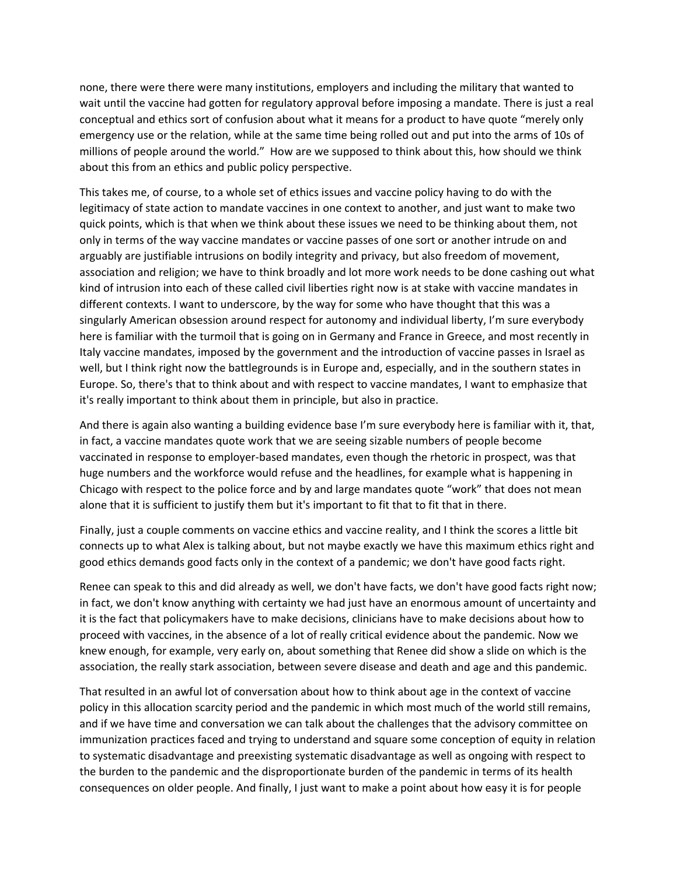none, there were there were many institutions, employers and including the military that wanted to wait until the vaccine had gotten for regulatory approval before imposing a mandate. There is just a real conceptual and ethics sort of confusion about what it means for a product to have quote "merely only emergency use or the relation, while at the same time being rolled out and put into the arms of 10s of millions of people around the world." How are we supposed to think about this, how should we think about this from an ethics and public policy perspective.

This takes me, of course, to a whole set of ethics issues and vaccine policy having to do with the legitimacy of state action to mandate vaccines in one context to another, and just want to make two quick points, which is that when we think about these issues we need to be thinking about them, not only in terms of the way vaccine mandates or vaccine passes of one sort or another intrude on and arguably are justifiable intrusions on bodily integrity and privacy, but also freedom of movement, association and religion; we have to think broadly and lot more work needs to be done cashing out what kind of intrusion into each of these called civil liberties right now is at stake with vaccine mandates in different contexts. I want to underscore, by the way for some who have thought that this was a singularly American obsession around respect for autonomy and individual liberty, I'm sure everybody here is familiar with the turmoil that is going on in Germany and France in Greece, and most recently in Italy vaccine mandates, imposed by the government and the introduction of vaccine passes in Israel as well, but I think right now the battlegrounds is in Europe and, especially, and in the southern states in Europe. So, there's that to think about and with respect to vaccine mandates, I want to emphasize that it's really important to think about them in principle, but also in practice.

And there is again also wanting a building evidence base I'm sure everybody here is familiar with it, that, in fact, a vaccine mandates quote work that we are seeing sizable numbers of people become vaccinated in response to employer‐based mandates, even though the rhetoric in prospect, was that huge numbers and the workforce would refuse and the headlines, for example what is happening in Chicago with respect to the police force and by and large mandates quote "work" that does not mean alone that it is sufficient to justify them but it's important to fit that to fit that in there.

Finally, just a couple comments on vaccine ethics and vaccine reality, and I think the scores a little bit connects up to what Alex is talking about, but not maybe exactly we have this maximum ethics right and good ethics demands good facts only in the context of a pandemic; we don't have good facts right.

Renee can speak to this and did already as well, we don't have facts, we don't have good facts right now; in fact, we don't know anything with certainty we had just have an enormous amount of uncertainty and it is the fact that policymakers have to make decisions, clinicians have to make decisions about how to proceed with vaccines, in the absence of a lot of really critical evidence about the pandemic. Now we knew enough, for example, very early on, about something that Renee did show a slide on which is the association, the really stark association, between severe disease and death and age and this pandemic.

That resulted in an awful lot of conversation about how to think about age in the context of vaccine policy in this allocation scarcity period and the pandemic in which most much of the world still remains, and if we have time and conversation we can talk about the challenges that the advisory committee on immunization practices faced and trying to understand and square some conception of equity in relation to systematic disadvantage and preexisting systematic disadvantage as well as ongoing with respect to the burden to the pandemic and the disproportionate burden of the pandemic in terms of its health consequences on older people. And finally, I just want to make a point about how easy it is for people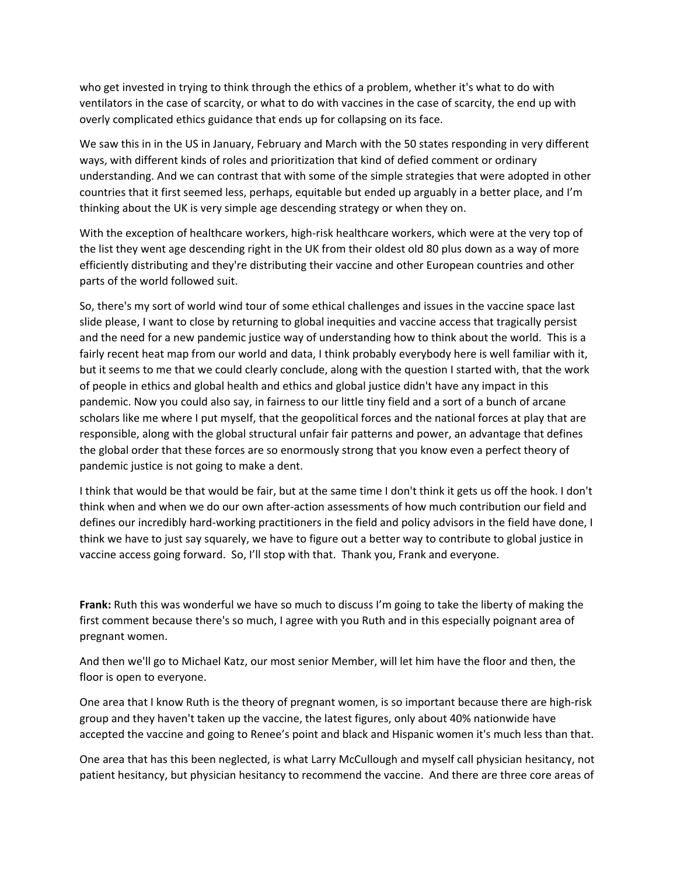who get invested in trying to think through the ethics of a problem, whether it's what to do with ventilators in the case of scarcity, or what to do with vaccines in the case of scarcity, the end up with overly complicated ethics guidance that ends up for collapsing on its face.

We saw this in in the US in January, February and March with the 50 states responding in very different ways, with different kinds of roles and prioritization that kind of defied comment or ordinary understanding. And we can contrast that with some of the simple strategies that were adopted in other countries that it first seemed less, perhaps, equitable but ended up arguably in a better place, and I'm thinking about the UK is very simple age descending strategy or when they on.

With the exception of healthcare workers, high-risk healthcare workers, which were at the very top of the list they went age descending right in the UK from their oldest old 80 plus down as a way of more efficiently distributing and they're distributing their vaccine and other European countries and other parts of the world followed suit.

So, there's my sort of world wind tour of some ethical challenges and issues in the vaccine space last slide please, I want to close by returning to global inequities and vaccine access that tragically persist and the need for a new pandemic justice way of understanding how to think about the world. This is a fairly recent heat map from our world and data, I think probably everybody here is well familiar with it, but it seems to me that we could clearly conclude, along with the question I started with, that the work of people in ethics and global health and ethics and global justice didn't have any impact in this pandemic. Now you could also say, in fairness to our little tiny field and a sort of a bunch of arcane scholars like me where I put myself, that the geopolitical forces and the national forces at play that are responsible, along with the global structural unfair fair patterns and power, an advantage that defines the global order that these forces are so enormously strong that you know even a perfect theory of pandemic justice is not going to make a dent.

I think that would be that would be fair, but at the same time I don't think it gets us off the hook. I don't think when and when we do our own after‐action assessments of how much contribution our field and defines our incredibly hard‐working practitioners in the field and policy advisors in the field have done, I think we have to just say squarely, we have to figure out a better way to contribute to global justice in vaccine access going forward. So, I'll stop with that. Thank you, Frank and everyone.

**Frank:** Ruth this was wonderful we have so much to discuss I'm going to take the liberty of making the first comment because there's so much, I agree with you Ruth and in this especially poignant area of pregnant women.

And then we'll go to Michael Katz, our most senior Member, will let him have the floor and then, the floor is open to everyone.

One area that I know Ruth is the theory of pregnant women, is so important because there are high‐risk group and they haven't taken up the vaccine, the latest figures, only about 40% nationwide have accepted the vaccine and going to Renee's point and black and Hispanic women it's much less than that.

One area that has this been neglected, is what Larry McCullough and myself call physician hesitancy, not patient hesitancy, but physician hesitancy to recommend the vaccine. And there are three core areas of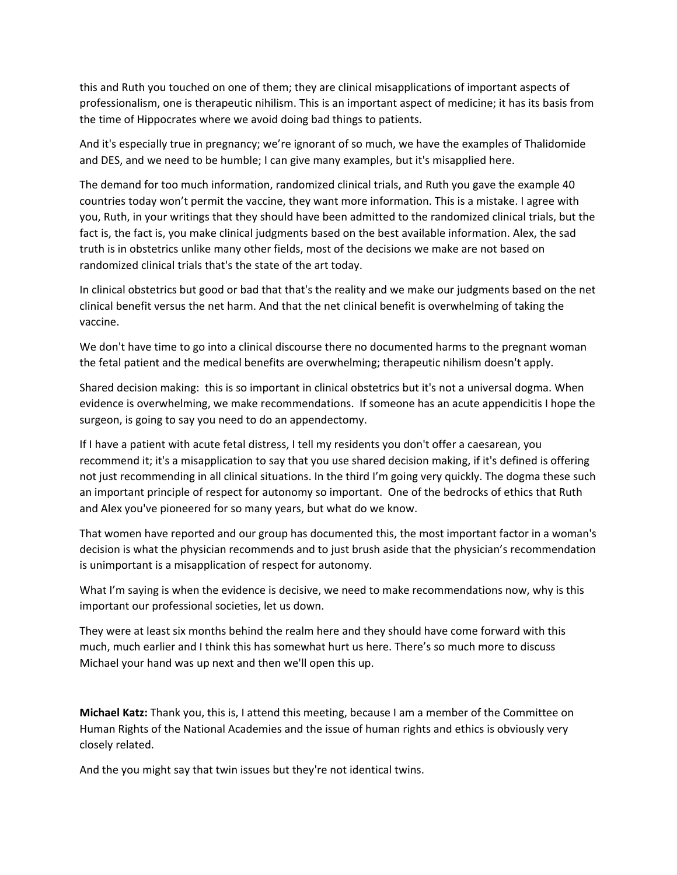this and Ruth you touched on one of them; they are clinical misapplications of important aspects of professionalism, one is therapeutic nihilism. This is an important aspect of medicine; it has its basis from the time of Hippocrates where we avoid doing bad things to patients.

And it's especially true in pregnancy; we're ignorant of so much, we have the examples of Thalidomide and DES, and we need to be humble; I can give many examples, but it's misapplied here.

The demand for too much information, randomized clinical trials, and Ruth you gave the example 40 countries today won't permit the vaccine, they want more information. This is a mistake. I agree with you, Ruth, in your writings that they should have been admitted to the randomized clinical trials, but the fact is, the fact is, you make clinical judgments based on the best available information. Alex, the sad truth is in obstetrics unlike many other fields, most of the decisions we make are not based on randomized clinical trials that's the state of the art today.

In clinical obstetrics but good or bad that that's the reality and we make our judgments based on the net clinical benefit versus the net harm. And that the net clinical benefit is overwhelming of taking the vaccine.

We don't have time to go into a clinical discourse there no documented harms to the pregnant woman the fetal patient and the medical benefits are overwhelming; therapeutic nihilism doesn't apply.

Shared decision making: this is so important in clinical obstetrics but it's not a universal dogma. When evidence is overwhelming, we make recommendations. If someone has an acute appendicitis I hope the surgeon, is going to say you need to do an appendectomy.

If I have a patient with acute fetal distress, I tell my residents you don't offer a caesarean, you recommend it; it's a misapplication to say that you use shared decision making, if it's defined is offering not just recommending in all clinical situations. In the third I'm going very quickly. The dogma these such an important principle of respect for autonomy so important. One of the bedrocks of ethics that Ruth and Alex you've pioneered for so many years, but what do we know.

That women have reported and our group has documented this, the most important factor in a woman's decision is what the physician recommends and to just brush aside that the physician's recommendation is unimportant is a misapplication of respect for autonomy.

What I'm saying is when the evidence is decisive, we need to make recommendations now, why is this important our professional societies, let us down.

They were at least six months behind the realm here and they should have come forward with this much, much earlier and I think this has somewhat hurt us here. There's so much more to discuss Michael your hand was up next and then we'll open this up.

**Michael Katz:** Thank you, this is, I attend this meeting, because I am a member of the Committee on Human Rights of the National Academies and the issue of human rights and ethics is obviously very closely related.

And the you might say that twin issues but they're not identical twins.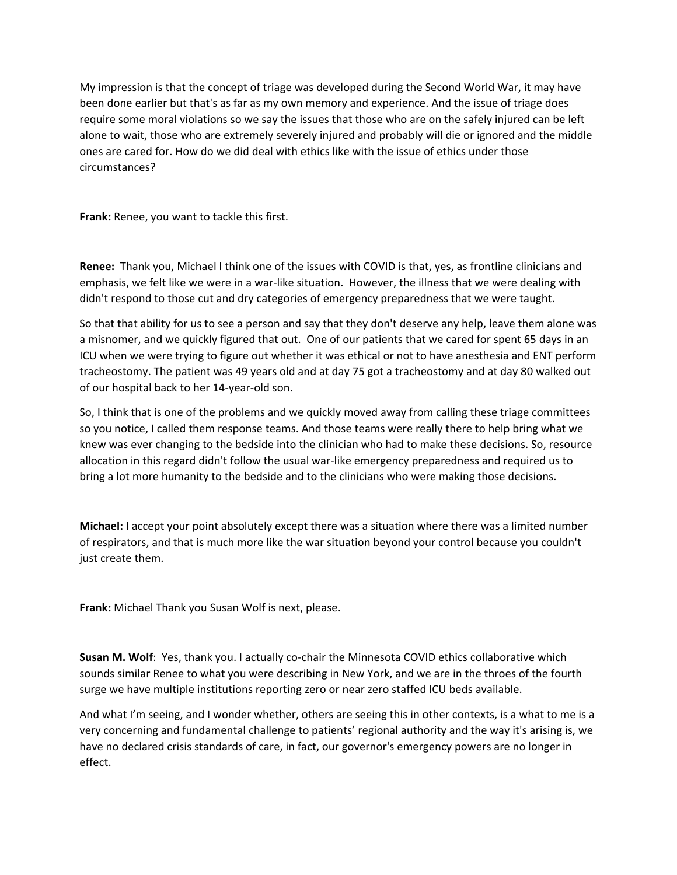My impression is that the concept of triage was developed during the Second World War, it may have been done earlier but that's as far as my own memory and experience. And the issue of triage does require some moral violations so we say the issues that those who are on the safely injured can be left alone to wait, those who are extremely severely injured and probably will die or ignored and the middle ones are cared for. How do we did deal with ethics like with the issue of ethics under those circumstances?

**Frank:** Renee, you want to tackle this first.

**Renee:** Thank you, Michael I think one of the issues with COVID is that, yes, as frontline clinicians and emphasis, we felt like we were in a war-like situation. However, the illness that we were dealing with didn't respond to those cut and dry categories of emergency preparedness that we were taught.

So that that ability for us to see a person and say that they don't deserve any help, leave them alone was a misnomer, and we quickly figured that out. One of our patients that we cared for spent 65 days in an ICU when we were trying to figure out whether it was ethical or not to have anesthesia and ENT perform tracheostomy. The patient was 49 years old and at day 75 got a tracheostomy and at day 80 walked out of our hospital back to her 14‐year‐old son.

So, I think that is one of the problems and we quickly moved away from calling these triage committees so you notice, I called them response teams. And those teams were really there to help bring what we knew was ever changing to the bedside into the clinician who had to make these decisions. So, resource allocation in this regard didn't follow the usual war‐like emergency preparedness and required us to bring a lot more humanity to the bedside and to the clinicians who were making those decisions.

**Michael:** I accept your point absolutely except there was a situation where there was a limited number of respirators, and that is much more like the war situation beyond your control because you couldn't just create them.

**Frank:** Michael Thank you Susan Wolf is next, please.

**Susan M. Wolf**: Yes, thank you. I actually co‐chair the Minnesota COVID ethics collaborative which sounds similar Renee to what you were describing in New York, and we are in the throes of the fourth surge we have multiple institutions reporting zero or near zero staffed ICU beds available.

And what I'm seeing, and I wonder whether, others are seeing this in other contexts, is a what to me is a very concerning and fundamental challenge to patients' regional authority and the way it's arising is, we have no declared crisis standards of care, in fact, our governor's emergency powers are no longer in effect.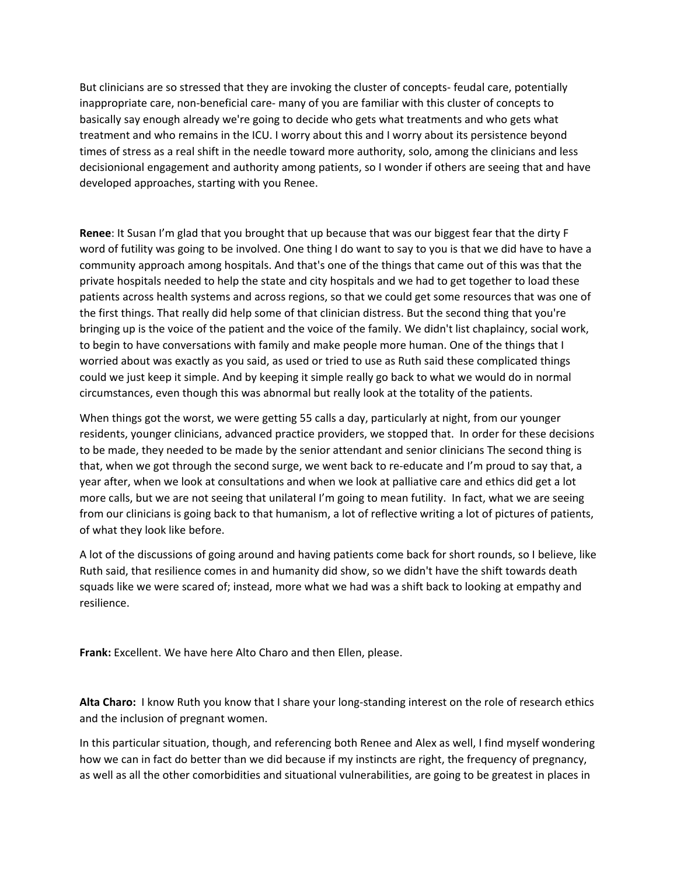But clinicians are so stressed that they are invoking the cluster of concepts-feudal care, potentially inappropriate care, non‐beneficial care‐ many of you are familiar with this cluster of concepts to basically say enough already we're going to decide who gets what treatments and who gets what treatment and who remains in the ICU. I worry about this and I worry about its persistence beyond times of stress as a real shift in the needle toward more authority, solo, among the clinicians and less decisionional engagement and authority among patients, so I wonder if others are seeing that and have developed approaches, starting with you Renee.

**Renee**: It Susan I'm glad that you brought that up because that was our biggest fear that the dirty F word of futility was going to be involved. One thing I do want to say to you is that we did have to have a community approach among hospitals. And that's one of the things that came out of this was that the private hospitals needed to help the state and city hospitals and we had to get together to load these patients across health systems and across regions, so that we could get some resources that was one of the first things. That really did help some of that clinician distress. But the second thing that you're bringing up is the voice of the patient and the voice of the family. We didn't list chaplaincy, social work, to begin to have conversations with family and make people more human. One of the things that I worried about was exactly as you said, as used or tried to use as Ruth said these complicated things could we just keep it simple. And by keeping it simple really go back to what we would do in normal circumstances, even though this was abnormal but really look at the totality of the patients.

When things got the worst, we were getting 55 calls a day, particularly at night, from our younger residents, younger clinicians, advanced practice providers, we stopped that. In order for these decisions to be made, they needed to be made by the senior attendant and senior clinicians The second thing is that, when we got through the second surge, we went back to re‐educate and I'm proud to say that, a year after, when we look at consultations and when we look at palliative care and ethics did get a lot more calls, but we are not seeing that unilateral I'm going to mean futility. In fact, what we are seeing from our clinicians is going back to that humanism, a lot of reflective writing a lot of pictures of patients, of what they look like before.

A lot of the discussions of going around and having patients come back for short rounds, so I believe, like Ruth said, that resilience comes in and humanity did show, so we didn't have the shift towards death squads like we were scared of; instead, more what we had was a shift back to looking at empathy and resilience.

**Frank:** Excellent. We have here Alto Charo and then Ellen, please.

**Alta Charo:** I know Ruth you know that I share your long‐standing interest on the role of research ethics and the inclusion of pregnant women.

In this particular situation, though, and referencing both Renee and Alex as well, I find myself wondering how we can in fact do better than we did because if my instincts are right, the frequency of pregnancy, as well as all the other comorbidities and situational vulnerabilities, are going to be greatest in places in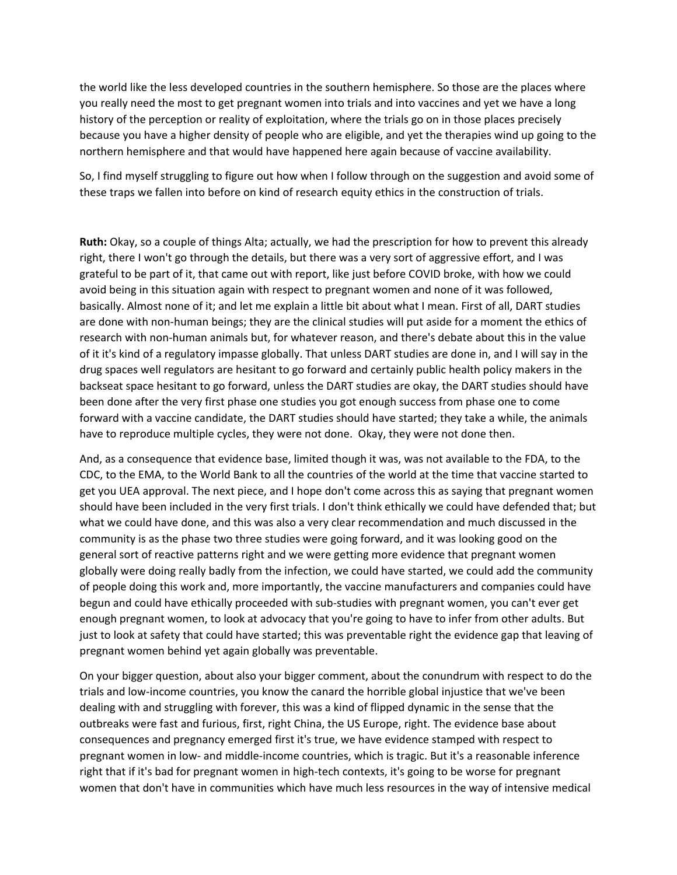the world like the less developed countries in the southern hemisphere. So those are the places where you really need the most to get pregnant women into trials and into vaccines and yet we have a long history of the perception or reality of exploitation, where the trials go on in those places precisely because you have a higher density of people who are eligible, and yet the therapies wind up going to the northern hemisphere and that would have happened here again because of vaccine availability.

So, I find myself struggling to figure out how when I follow through on the suggestion and avoid some of these traps we fallen into before on kind of research equity ethics in the construction of trials.

**Ruth:** Okay, so a couple of things Alta; actually, we had the prescription for how to prevent this already right, there I won't go through the details, but there was a very sort of aggressive effort, and I was grateful to be part of it, that came out with report, like just before COVID broke, with how we could avoid being in this situation again with respect to pregnant women and none of it was followed, basically. Almost none of it; and let me explain a little bit about what I mean. First of all, DART studies are done with non-human beings; they are the clinical studies will put aside for a moment the ethics of research with non‐human animals but, for whatever reason, and there's debate about this in the value of it it's kind of a regulatory impasse globally. That unless DART studies are done in, and I will say in the drug spaces well regulators are hesitant to go forward and certainly public health policy makers in the backseat space hesitant to go forward, unless the DART studies are okay, the DART studies should have been done after the very first phase one studies you got enough success from phase one to come forward with a vaccine candidate, the DART studies should have started; they take a while, the animals have to reproduce multiple cycles, they were not done. Okay, they were not done then.

And, as a consequence that evidence base, limited though it was, was not available to the FDA, to the CDC, to the EMA, to the World Bank to all the countries of the world at the time that vaccine started to get you UEA approval. The next piece, and I hope don't come across this as saying that pregnant women should have been included in the very first trials. I don't think ethically we could have defended that; but what we could have done, and this was also a very clear recommendation and much discussed in the community is as the phase two three studies were going forward, and it was looking good on the general sort of reactive patterns right and we were getting more evidence that pregnant women globally were doing really badly from the infection, we could have started, we could add the community of people doing this work and, more importantly, the vaccine manufacturers and companies could have begun and could have ethically proceeded with sub-studies with pregnant women, you can't ever get enough pregnant women, to look at advocacy that you're going to have to infer from other adults. But just to look at safety that could have started; this was preventable right the evidence gap that leaving of pregnant women behind yet again globally was preventable.

On your bigger question, about also your bigger comment, about the conundrum with respect to do the trials and low‐income countries, you know the canard the horrible global injustice that we've been dealing with and struggling with forever, this was a kind of flipped dynamic in the sense that the outbreaks were fast and furious, first, right China, the US Europe, right. The evidence base about consequences and pregnancy emerged first it's true, we have evidence stamped with respect to pregnant women in low‐ and middle‐income countries, which is tragic. But it's a reasonable inference right that if it's bad for pregnant women in high‐tech contexts, it's going to be worse for pregnant women that don't have in communities which have much less resources in the way of intensive medical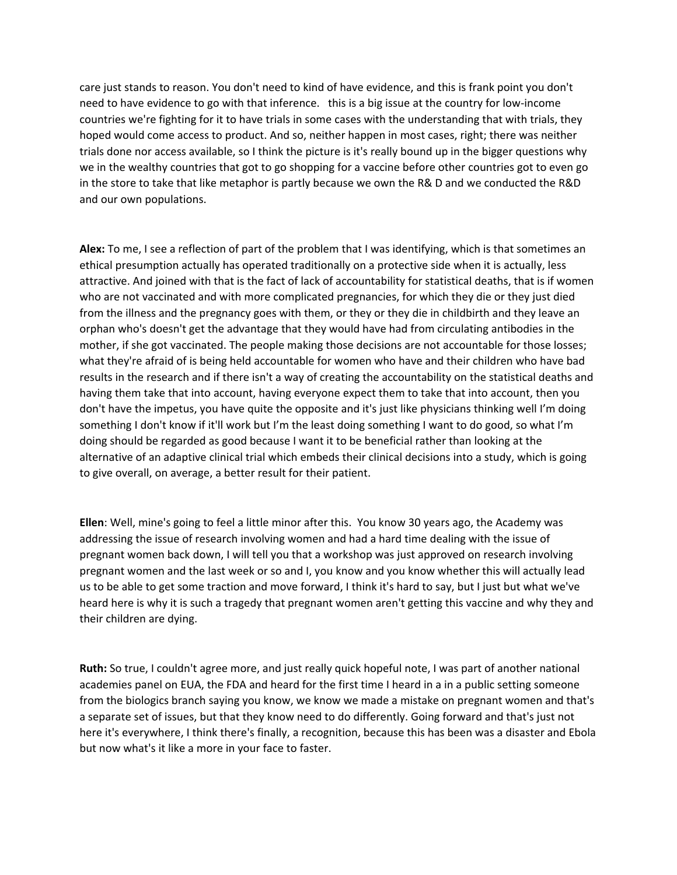care just stands to reason. You don't need to kind of have evidence, and this is frank point you don't need to have evidence to go with that inference. this is a big issue at the country for low‐income countries we're fighting for it to have trials in some cases with the understanding that with trials, they hoped would come access to product. And so, neither happen in most cases, right; there was neither trials done nor access available, so I think the picture is it's really bound up in the bigger questions why we in the wealthy countries that got to go shopping for a vaccine before other countries got to even go in the store to take that like metaphor is partly because we own the R& D and we conducted the R&D and our own populations.

**Alex:** To me, I see a reflection of part of the problem that I was identifying, which is that sometimes an ethical presumption actually has operated traditionally on a protective side when it is actually, less attractive. And joined with that is the fact of lack of accountability for statistical deaths, that is if women who are not vaccinated and with more complicated pregnancies, for which they die or they just died from the illness and the pregnancy goes with them, or they or they die in childbirth and they leave an orphan who's doesn't get the advantage that they would have had from circulating antibodies in the mother, if she got vaccinated. The people making those decisions are not accountable for those losses; what they're afraid of is being held accountable for women who have and their children who have bad results in the research and if there isn't a way of creating the accountability on the statistical deaths and having them take that into account, having everyone expect them to take that into account, then you don't have the impetus, you have quite the opposite and it's just like physicians thinking well I'm doing something I don't know if it'll work but I'm the least doing something I want to do good, so what I'm doing should be regarded as good because I want it to be beneficial rather than looking at the alternative of an adaptive clinical trial which embeds their clinical decisions into a study, which is going to give overall, on average, a better result for their patient.

**Ellen**: Well, mine's going to feel a little minor after this. You know 30 years ago, the Academy was addressing the issue of research involving women and had a hard time dealing with the issue of pregnant women back down, I will tell you that a workshop was just approved on research involving pregnant women and the last week or so and I, you know and you know whether this will actually lead us to be able to get some traction and move forward, I think it's hard to say, but I just but what we've heard here is why it is such a tragedy that pregnant women aren't getting this vaccine and why they and their children are dying.

**Ruth:** So true, I couldn't agree more, and just really quick hopeful note, I was part of another national academies panel on EUA, the FDA and heard for the first time I heard in a in a public setting someone from the biologics branch saying you know, we know we made a mistake on pregnant women and that's a separate set of issues, but that they know need to do differently. Going forward and that's just not here it's everywhere, I think there's finally, a recognition, because this has been was a disaster and Ebola but now what's it like a more in your face to faster.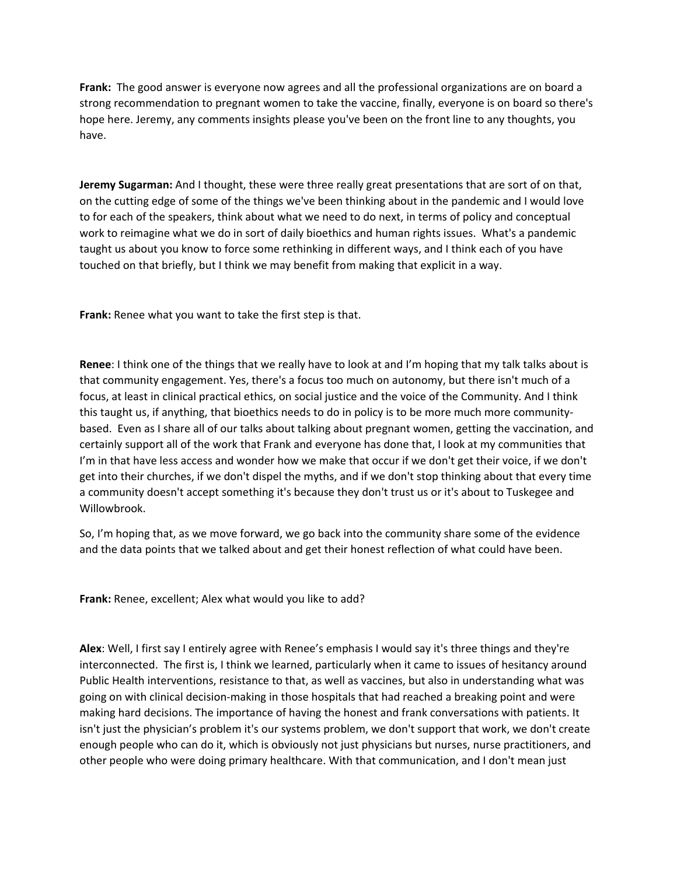**Frank:** The good answer is everyone now agrees and all the professional organizations are on board a strong recommendation to pregnant women to take the vaccine, finally, everyone is on board so there's hope here. Jeremy, any comments insights please you've been on the front line to any thoughts, you have.

**Jeremy Sugarman:** And I thought, these were three really great presentations that are sort of on that, on the cutting edge of some of the things we've been thinking about in the pandemic and I would love to for each of the speakers, think about what we need to do next, in terms of policy and conceptual work to reimagine what we do in sort of daily bioethics and human rights issues. What's a pandemic taught us about you know to force some rethinking in different ways, and I think each of you have touched on that briefly, but I think we may benefit from making that explicit in a way.

**Frank:** Renee what you want to take the first step is that.

**Renee**: I think one of the things that we really have to look at and I'm hoping that my talk talks about is that community engagement. Yes, there's a focus too much on autonomy, but there isn't much of a focus, at least in clinical practical ethics, on social justice and the voice of the Community. And I think this taught us, if anything, that bioethics needs to do in policy is to be more much more community‐ based. Even as I share all of our talks about talking about pregnant women, getting the vaccination, and certainly support all of the work that Frank and everyone has done that, I look at my communities that I'm in that have less access and wonder how we make that occur if we don't get their voice, if we don't get into their churches, if we don't dispel the myths, and if we don't stop thinking about that every time a community doesn't accept something it's because they don't trust us or it's about to Tuskegee and Willowbrook.

So, I'm hoping that, as we move forward, we go back into the community share some of the evidence and the data points that we talked about and get their honest reflection of what could have been.

**Frank:** Renee, excellent; Alex what would you like to add?

**Alex**: Well, I first say I entirely agree with Renee's emphasis I would say it's three things and they're interconnected. The first is, I think we learned, particularly when it came to issues of hesitancy around Public Health interventions, resistance to that, as well as vaccines, but also in understanding what was going on with clinical decision‐making in those hospitals that had reached a breaking point and were making hard decisions. The importance of having the honest and frank conversations with patients. It isn't just the physician's problem it's our systems problem, we don't support that work, we don't create enough people who can do it, which is obviously not just physicians but nurses, nurse practitioners, and other people who were doing primary healthcare. With that communication, and I don't mean just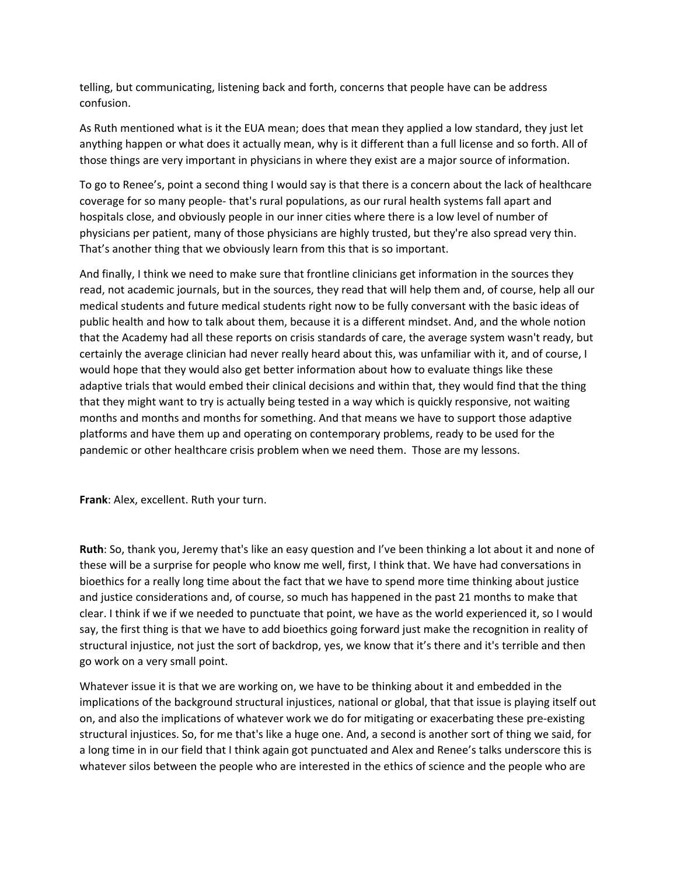telling, but communicating, listening back and forth, concerns that people have can be address confusion.

As Ruth mentioned what is it the EUA mean; does that mean they applied a low standard, they just let anything happen or what does it actually mean, why is it different than a full license and so forth. All of those things are very important in physicians in where they exist are a major source of information.

To go to Renee's, point a second thing I would say is that there is a concern about the lack of healthcare coverage for so many people‐ that's rural populations, as our rural health systems fall apart and hospitals close, and obviously people in our inner cities where there is a low level of number of physicians per patient, many of those physicians are highly trusted, but they're also spread very thin. That's another thing that we obviously learn from this that is so important.

And finally, I think we need to make sure that frontline clinicians get information in the sources they read, not academic journals, but in the sources, they read that will help them and, of course, help all our medical students and future medical students right now to be fully conversant with the basic ideas of public health and how to talk about them, because it is a different mindset. And, and the whole notion that the Academy had all these reports on crisis standards of care, the average system wasn't ready, but certainly the average clinician had never really heard about this, was unfamiliar with it, and of course, I would hope that they would also get better information about how to evaluate things like these adaptive trials that would embed their clinical decisions and within that, they would find that the thing that they might want to try is actually being tested in a way which is quickly responsive, not waiting months and months and months for something. And that means we have to support those adaptive platforms and have them up and operating on contemporary problems, ready to be used for the pandemic or other healthcare crisis problem when we need them. Those are my lessons.

**Frank**: Alex, excellent. Ruth your turn.

**Ruth**: So, thank you, Jeremy that's like an easy question and I've been thinking a lot about it and none of these will be a surprise for people who know me well, first, I think that. We have had conversations in bioethics for a really long time about the fact that we have to spend more time thinking about justice and justice considerations and, of course, so much has happened in the past 21 months to make that clear. I think if we if we needed to punctuate that point, we have as the world experienced it, so I would say, the first thing is that we have to add bioethics going forward just make the recognition in reality of structural injustice, not just the sort of backdrop, yes, we know that it's there and it's terrible and then go work on a very small point.

Whatever issue it is that we are working on, we have to be thinking about it and embedded in the implications of the background structural injustices, national or global, that that issue is playing itself out on, and also the implications of whatever work we do for mitigating or exacerbating these pre‐existing structural injustices. So, for me that's like a huge one. And, a second is another sort of thing we said, for a long time in in our field that I think again got punctuated and Alex and Renee's talks underscore this is whatever silos between the people who are interested in the ethics of science and the people who are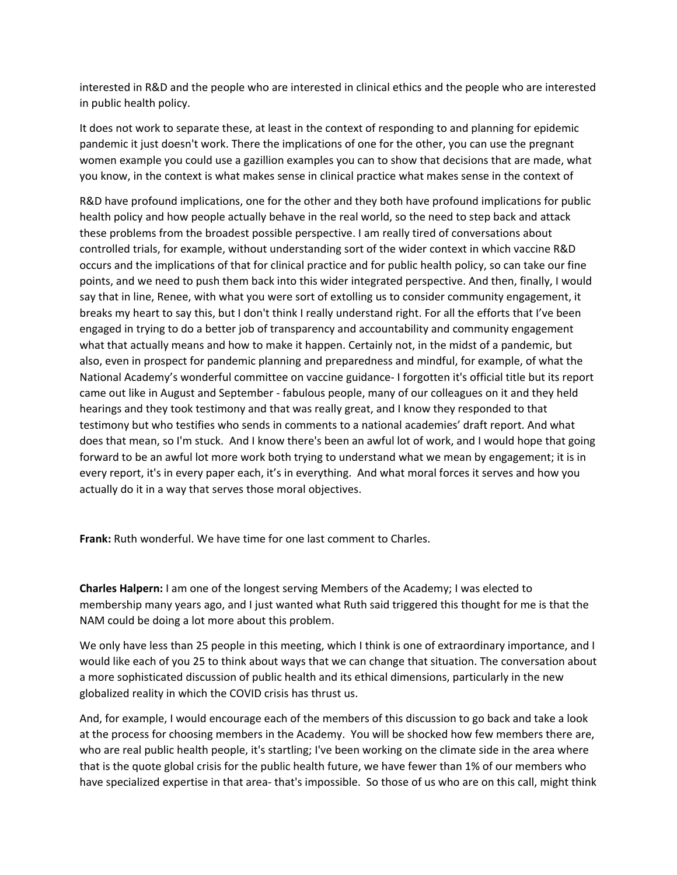interested in R&D and the people who are interested in clinical ethics and the people who are interested in public health policy.

It does not work to separate these, at least in the context of responding to and planning for epidemic pandemic it just doesn't work. There the implications of one for the other, you can use the pregnant women example you could use a gazillion examples you can to show that decisions that are made, what you know, in the context is what makes sense in clinical practice what makes sense in the context of

R&D have profound implications, one for the other and they both have profound implications for public health policy and how people actually behave in the real world, so the need to step back and attack these problems from the broadest possible perspective. I am really tired of conversations about controlled trials, for example, without understanding sort of the wider context in which vaccine R&D occurs and the implications of that for clinical practice and for public health policy, so can take our fine points, and we need to push them back into this wider integrated perspective. And then, finally, I would say that in line, Renee, with what you were sort of extolling us to consider community engagement, it breaks my heart to say this, but I don't think I really understand right. For all the efforts that I've been engaged in trying to do a better job of transparency and accountability and community engagement what that actually means and how to make it happen. Certainly not, in the midst of a pandemic, but also, even in prospect for pandemic planning and preparedness and mindful, for example, of what the National Academy's wonderful committee on vaccine guidance‐ I forgotten it's official title but its report came out like in August and September ‐ fabulous people, many of our colleagues on it and they held hearings and they took testimony and that was really great, and I know they responded to that testimony but who testifies who sends in comments to a national academies' draft report. And what does that mean, so I'm stuck. And I know there's been an awful lot of work, and I would hope that going forward to be an awful lot more work both trying to understand what we mean by engagement; it is in every report, it's in every paper each, it's in everything. And what moral forces it serves and how you actually do it in a way that serves those moral objectives.

**Frank:** Ruth wonderful. We have time for one last comment to Charles.

**Charles Halpern:** I am one of the longest serving Members of the Academy; I was elected to membership many years ago, and I just wanted what Ruth said triggered this thought for me is that the NAM could be doing a lot more about this problem.

We only have less than 25 people in this meeting, which I think is one of extraordinary importance, and I would like each of you 25 to think about ways that we can change that situation. The conversation about a more sophisticated discussion of public health and its ethical dimensions, particularly in the new globalized reality in which the COVID crisis has thrust us.

And, for example, I would encourage each of the members of this discussion to go back and take a look at the process for choosing members in the Academy. You will be shocked how few members there are, who are real public health people, it's startling; I've been working on the climate side in the area where that is the quote global crisis for the public health future, we have fewer than 1% of our members who have specialized expertise in that area-that's impossible. So those of us who are on this call, might think